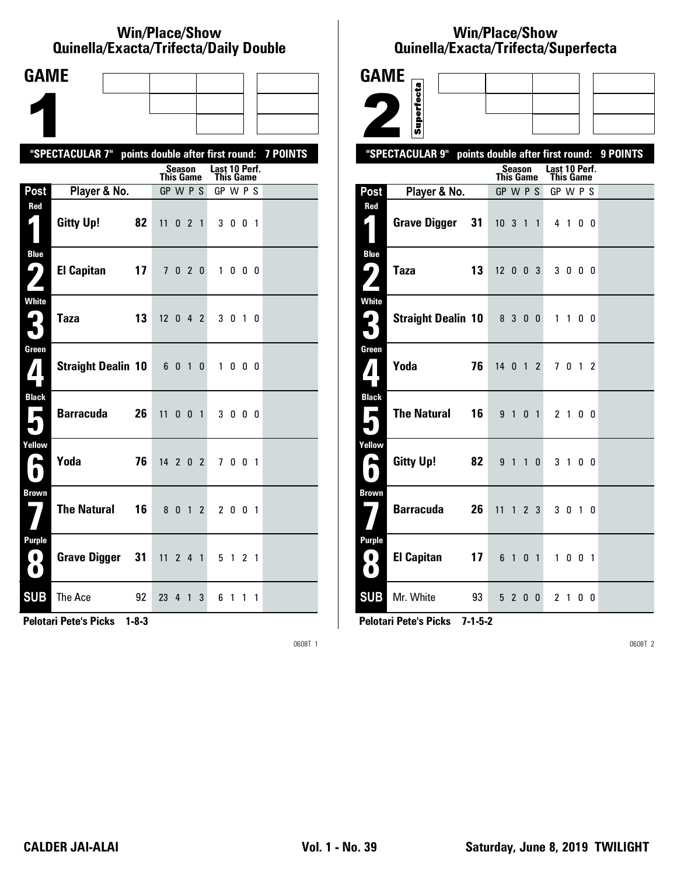#### **Win/Place/Show Qui nel la/Exacta/Tri fecta/Daily Dou ble**

| <b>GAME</b>                      |                                                           |    |                  |         |              |                                   |         |             |  |
|----------------------------------|-----------------------------------------------------------|----|------------------|---------|--------------|-----------------------------------|---------|-------------|--|
|                                  |                                                           |    |                  |         |              |                                   |         |             |  |
|                                  |                                                           |    |                  |         |              |                                   |         |             |  |
|                                  | "SPECTACULAR 7" points double after first round: 7 POINTS |    |                  |         |              |                                   |         |             |  |
|                                  |                                                           |    | <b>This Game</b> | Season  |              | Last 10 Perf.<br><b>This Game</b> |         |             |  |
| Post                             | Player & No.                                              |    | GP W P S         |         |              | GP W P S                          |         |             |  |
| Red<br>1                         | <b>Gitty Up!</b>                                          | 82 | $11 \t0 \t2 \t1$ |         |              |                                   | 3 0 0 1 |             |  |
| <b>Blue</b><br>7<br>Z            | <b>El Capitan</b>                                         | 17 |                  | 7 0 2 0 |              |                                   | 1000    |             |  |
| <b>White</b><br>3                | <b>Taza</b>                                               | 13 | $12 \t0 \t4 \t2$ |         |              |                                   | 3 0 1 0 |             |  |
| Green<br>$\mathbf{Z}$            | Straight Dealin 10 6 0 1                                  |    |                  |         | 0            |                                   | 1000    |             |  |
| <b>Black</b><br>$\blacksquare$   | <b>Barracuda</b>                                          | 26 | $11$ 0 0 1       |         |              |                                   | 3 0 0 0 |             |  |
| Yellow<br>A                      | Yoda                                                      | 76 | 14 2 0 2         |         |              |                                   | 7 0 0 1 |             |  |
| <b>Brown</b>                     | <b>The Natural</b>                                        | 16 |                  | 8 0 1   | $\mathbf{2}$ |                                   | 2 0 0 1 |             |  |
| <b>Purple</b><br>0)<br>$\bullet$ | <b>Grave Digger</b>                                       | 31 | $11$ 2 4 1       |         |              |                                   | 5 1 2 1 |             |  |
| <b>SUB</b>                       | The Ace                                                   | 92 | 23 4 1           |         | 3            |                                   | 61      | $1 \quad 1$ |  |

**Pelotari Pete's Picks 1-8-3**

0608T 1

# **Win/Place/Show Qui nel la/Exacta/Tri fecta/Super fecta**

| <b>GAME</b>                            |                           |    |                                  |                |                 |                |                            |             |     |                |          |
|----------------------------------------|---------------------------|----|----------------------------------|----------------|-----------------|----------------|----------------------------|-------------|-----|----------------|----------|
|                                        |                           |    |                                  |                |                 |                |                            |             |     |                |          |
|                                        | Superfecta                |    |                                  |                |                 |                |                            |             |     |                |          |
|                                        | "SPECTACULAR 9"           |    | points double after first round: |                |                 |                |                            |             |     |                | 9 POINTS |
|                                        |                           |    | This Game                        | <b>Season</b>  |                 |                | Last 10 Perf.<br>This Game |             |     |                |          |
| Post                                   | Player & No.              |    | GP W P S                         |                |                 |                | GP W P S                   |             |     |                |          |
| Red                                    |                           |    |                                  |                |                 |                |                            |             |     |                |          |
| $\mathsf{L}_\parallel$                 | <b>Grave Digger</b>       | 31 | $10 \t3 \t1$                     |                |                 | 1              | 4 1                        |             |     | 0 <sub>0</sub> |          |
| <b>Blue</b>                            | <b>Taza</b>               | 13 | $12$ 0 0 3                       |                |                 |                |                            | 3 0 0 0     |     |                |          |
|                                        |                           |    |                                  |                |                 |                |                            |             |     |                |          |
| <b>White</b><br>$\mathbf{G}_\parallel$ | <b>Straight Dealin 10</b> |    |                                  | 8 3 0 0        |                 |                |                            | 1 1 0 0     |     |                |          |
| 7                                      |                           |    |                                  |                |                 |                |                            |             |     |                |          |
| Green                                  |                           |    |                                  |                |                 |                |                            |             |     |                |          |
| $\pmb{\eta}$ is                        | Yoda                      | 76 | 14 0 1 2                         |                |                 |                |                            | 7 0 1 2     |     |                |          |
| <b>Black</b>                           |                           |    |                                  |                |                 |                |                            |             |     |                |          |
| Е                                      | <b>The Natural</b>        | 16 |                                  | 9 <sub>1</sub> |                 | 0 <sub>1</sub> | 2 <sub>1</sub>             |             |     | 0 <sub>0</sub> |          |
| Yellow                                 |                           |    |                                  |                |                 |                |                            |             |     |                |          |
| $\blacktriangleright$                  | <b>Gitty Up!</b>          | 82 |                                  | 9 1 1          |                 | 0              |                            | $3 \quad 1$ |     | 0 <sub>0</sub> |          |
| <b>Brown</b>                           |                           |    |                                  |                |                 |                |                            |             |     |                |          |
|                                        | <b>Barracuda</b>          | 26 | 11                               |                | $1\quad2\quad3$ |                |                            | 3 0 1 0     |     |                |          |
| <b>Purple</b>                          |                           |    |                                  |                |                 |                |                            |             |     |                |          |
| $\bullet$<br>$\bullet$                 | <b>El Capitan</b>         | 17 | 6                                | $\overline{1}$ | 0               | $\overline{1}$ | $\mathbf{1}$               |             | 001 |                |          |
| <b>SUB</b>                             | Mr. White                 | 93 |                                  | 5 2 0          |                 | $\mathbf{0}$   |                            | 2 1 0 0     |     |                |          |

**Pelotari Pete's Picks 7-1-5-2**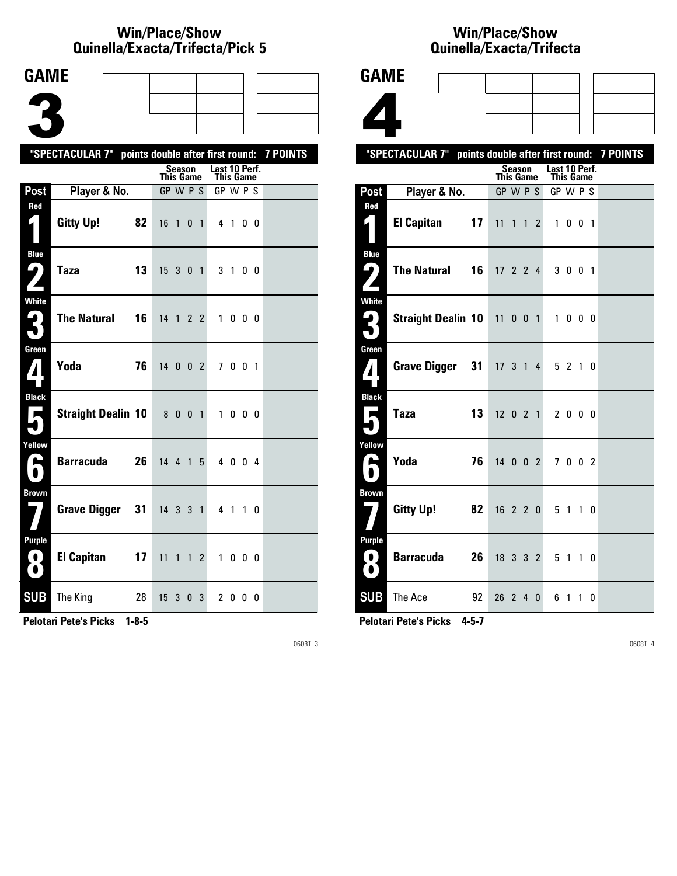#### **Win/Place/Show Qui nel la/Exacta/Tri fecta/Pick 5**

| <b>GAME</b>                                     |                                                           |    |                  |                |             |                |               |         |     |           |  |
|-------------------------------------------------|-----------------------------------------------------------|----|------------------|----------------|-------------|----------------|---------------|---------|-----|-----------|--|
|                                                 |                                                           |    |                  |                |             |                |               |         |     |           |  |
|                                                 |                                                           |    |                  |                |             |                |               |         |     |           |  |
|                                                 |                                                           |    |                  |                |             |                |               |         |     |           |  |
|                                                 | "SPECTACULAR 7" points double after first round: 7 POINTS |    |                  | <b>Season</b>  |             |                | Last 10 Perf. |         |     |           |  |
|                                                 |                                                           |    | <b>This Game</b> |                |             |                | This Game     |         |     |           |  |
| Post<br>Red                                     | Player & No.                                              |    | GP W P S         |                |             |                | GP W P S      |         |     |           |  |
| 1                                               | <b>Gitty Up!</b>                                          | 82 | 16               | $\overline{1}$ | 0           | $\overline{1}$ |               | 4 1 0 0 |     |           |  |
| <b>Blue</b><br>ر ما                             | <b>Taza</b>                                               | 13 | 15 3 0 1         |                |             |                |               | 31      | 0 0 |           |  |
| White<br>3                                      | <b>The Natural</b>                                        | 16 | 14 1 2 2         |                |             |                |               | 1000    |     |           |  |
| Green<br>$\mathbf{Z}$                           | Yoda                                                      | 76 | 14002            |                |             |                |               | 7 0 0 1 |     |           |  |
| <b>Black</b><br>$\blacksquare$                  | <b>Straight Dealin 10</b>                                 |    |                  | 800            |             | $\overline{1}$ |               | 1000    |     |           |  |
| Yellow<br>A                                     | <b>Barracuda</b>                                          | 26 | 14 4 1 5         |                |             |                |               | 4 0 0 4 |     |           |  |
| <b>Brown</b>                                    | <b>Grave Digger</b>                                       | 31 | 14 3 3 1         |                |             |                |               | 41      |     | $1\quad0$ |  |
| <b>Purple</b><br>$\left( 0\right)$<br>$\bullet$ | <b>El Capitan</b>                                         | 17 | 11               | $\mathbf{1}$   |             | $1\,2$         |               | 1000    |     |           |  |
| <b>SUB</b>                                      | The King                                                  | 28 | 15               | 3              | $\mathbf 0$ | 3              |               | 2000    |     |           |  |

**Pelotari Pete's Picks 1-8-5**

0608T 3

### **Win/Place/Show Qui nel la/Exacta/Tri fecta**

|                                                                       |                             |    | QUIIICIIA/LXAULA/ IIIICULA                          |               |  |
|-----------------------------------------------------------------------|-----------------------------|----|-----------------------------------------------------|---------------|--|
| <b>GAME</b>                                                           |                             |    |                                                     |               |  |
|                                                                       |                             |    |                                                     |               |  |
|                                                                       |                             |    |                                                     |               |  |
|                                                                       | "SPECTACULAR 7"             |    | points double after first round: 7 POINTS<br>Season | Last 10 Perf. |  |
|                                                                       |                             |    | <b>This Game</b>                                    | This Game     |  |
| Post                                                                  | Player & No.                |    | GP W P S                                            | GP W P S      |  |
| Red                                                                   | <b>El Capitan</b>           | 17 | 11 1 1 2                                            | 1 0 0 1       |  |
| <b>Blue</b><br>9                                                      | <b>The Natural</b>          | 16 | 17, 2, 2, 4                                         | 3 0 0 1       |  |
| <b>White</b><br>2                                                     | Straight Dealin 10 11 0 0 1 |    |                                                     | 1 0 0 0       |  |
| Green<br>$\boldsymbol{A}$                                             | Grave Digger 31             |    | 17 3 1 4                                            | 5210          |  |
| <b>Black</b><br>$\blacksquare$                                        | <b>Taza</b>                 | 13 | $12 \t0 \t2 \t1$                                    | 2000          |  |
| Yellow<br>А                                                           | Yoda                        | 76 | $14 \quad 0 \quad 0 \quad 2$                        | 7002          |  |
| <b>Brown</b>                                                          | Gitty Up!                   | 82 | $16$ 2 2 0                                          | 5 1 1 0       |  |
| <b>Purple</b><br>O<br>$\left( \begin{array}{c} 0 \end{array} \right)$ | <b>Barracuda</b>            | 26 | 18 3 3 2                                            | 5 1 1 0       |  |
| <b>SUB</b>                                                            | The Ace                     | 92 | 26 2 4<br>$\mathbf 0$                               | 6<br>1 1 0    |  |

**Pelotari Pete's Picks 4-5-7**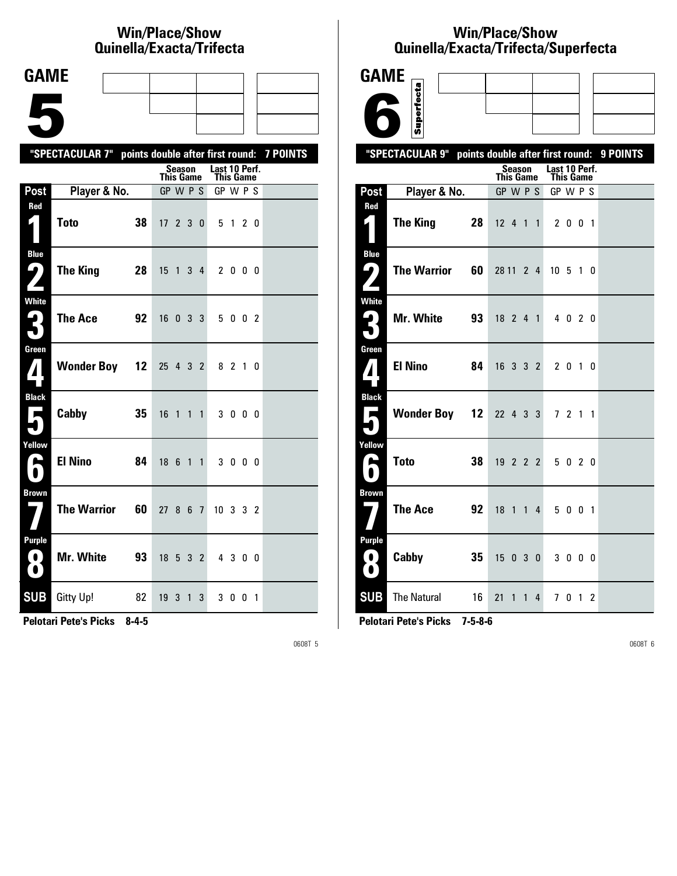# **Win/Place/Show Qui nel la/Exacta/Tri fecta**

| <b>GAME</b>                                |                                                           |                 |                      |                |              |              |                            |         |   |   |  |
|--------------------------------------------|-----------------------------------------------------------|-----------------|----------------------|----------------|--------------|--------------|----------------------------|---------|---|---|--|
|                                            |                                                           |                 |                      |                |              |              |                            |         |   |   |  |
|                                            |                                                           |                 |                      |                |              |              |                            |         |   |   |  |
|                                            | "SPECTACULAR 7" points double after first round: 7 POINTS |                 |                      |                |              |              |                            |         |   |   |  |
|                                            |                                                           |                 | This Game            | <b>Season</b>  |              |              | Last 10 Perf.<br>This Game |         |   |   |  |
| Post                                       | Player & No.                                              |                 | GP W P S             |                |              |              | GP W P S                   |         |   |   |  |
| Red                                        | <b>Toto</b>                                               | 38              | $17 \quad 2 \quad 3$ |                |              | $\mathbf{0}$ |                            | 5 1 2 0 |   |   |  |
| <b>Blue</b><br>7                           | The King                                                  | 28              | 15                   | $\overline{1}$ |              | $3\quad 4$   |                            | 2 0 0 0 |   |   |  |
| <b>White</b><br>3                          | <b>The Ace</b>                                            | 92              | 16                   | $0 \t3 \t3$    |              |              |                            | 5 0 0 2 |   |   |  |
| Green<br>$\mathbf{Z}$                      | <b>Wonder Boy</b>                                         | 12 <sup>2</sup> | 25 4 3 2             |                |              |              |                            | 8 2 1 0 |   |   |  |
| <b>Black</b><br>▗                          | Cabby                                                     | 35              | 16                   | $\overline{1}$ |              | $1\quad1$    |                            | 3000    |   |   |  |
| Yellow<br>$\blacktriangleright$            | <b>El Nino</b>                                            | 84              | 18 6                 |                | $1\quad1$    |              |                            | 3 0 0 0 |   |   |  |
| <b>Brown</b>                               | <b>The Warrior</b>                                        | 60              | 27 8 6 7             |                |              |              | 10 3 3 2                   |         |   |   |  |
| <b>Purple</b><br>$\bullet$<br>$\bf \Omega$ | Mr. White                                                 | 93              | $18$ 5 3 2           |                |              |              |                            | 4 3 0 0 |   |   |  |
| <b>SUB</b>                                 | <b>Gitty Up!</b>                                          | 82              | 19 <sub>3</sub>      |                | $\mathbf{1}$ | 3            |                            | 30      | 0 | 1 |  |

**Pelotari Pete's Picks 8-4-5**

0608T 5

# **Win/Place/Show Qui nel la/Exacta/Tri fecta/Super fecta**

| <b>GAME</b>                                 |                                                  |                                   |                                   |          |
|---------------------------------------------|--------------------------------------------------|-----------------------------------|-----------------------------------|----------|
|                                             | Superfecta                                       |                                   |                                   |          |
|                                             |                                                  |                                   |                                   |          |
|                                             | "SPECTACULAR 9" points double after first round: |                                   |                                   | 9 POINTS |
|                                             |                                                  | <b>Season</b><br><b>This Game</b> | Last 10 Perf.<br><b>This Game</b> |          |
| Post                                        | Player & No.                                     | GP W P S                          | GP W P S                          |          |
| Red                                         | <b>The King</b><br>28                            | $12 \t4 \t1$<br>$\overline{1}$    | 2 0 0 1                           |          |
| <b>Blue</b><br>$\mathsf{L}_{\bm{\theta}}$ ) | <b>The Warrior</b><br>60                         | 28 11 2 4                         | 10 <sub>5</sub><br>10             |          |
| <b>White</b>                                | Mr. White<br>93                                  | 18 2 4 1                          | 4 0 2 0                           |          |
| Green<br>$\mathbf{Z}$                       | <b>El Nino</b><br>84                             | 16332                             | 2 0 1 0                           |          |
| <b>Black</b><br>$\overline{\phantom{a}}$    | <b>Wonder Boy 12</b>                             | 22 4 3 3                          | 7 <sub>2</sub><br>$1\quad1$       |          |
| Yellow<br>А<br>$\blacksquare$               | <b>Toto</b><br>38                                | 19 2 2 2                          | 5 0 2 0                           |          |
| <b>Brown</b>                                | <b>The Ace</b><br>92                             | $18 \t1 \t1$<br>4                 | 5 0 0 1                           |          |
| <b>Purple</b><br>0)<br>$\bullet$            | Cabby<br>35                                      | 15<br>0 <sup>3</sup><br>0         | 3 0 0 0                           |          |
| <b>SUB</b>                                  | <b>The Natural</b><br>16                         | 21<br>$1\quad1$<br>4              | 7012                              |          |

**Pelotari Pete's Picks 7-5-8-6**